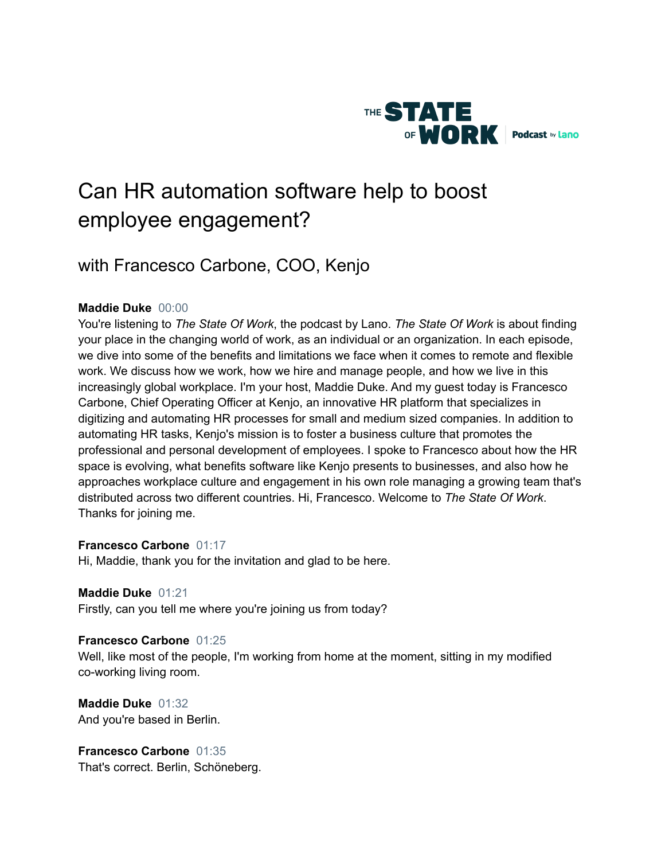

# Can HR automation software help to boost employee engagement?

# with Francesco Carbone, COO, Kenjo

# **Maddie Duke** 00:00

You're listening to *The State Of Work*, the podcast by Lano. *The State Of Work* is about finding your place in the changing world of work, as an individual or an organization. In each episode, we dive into some of the benefits and limitations we face when it comes to remote and flexible work. We discuss how we work, how we hire and manage people, and how we live in this increasingly global workplace. I'm your host, Maddie Duke. And my guest today is Francesco Carbone, Chief Operating Officer at Kenjo, an innovative HR platform that specializes in digitizing and automating HR processes for small and medium sized companies. In addition to automating HR tasks, Kenjo's mission is to foster a business culture that promotes the professional and personal development of employees. I spoke to Francesco about how the HR space is evolving, what benefits software like Kenjo presents to businesses, and also how he approaches workplace culture and engagement in his own role managing a growing team that's distributed across two different countries. Hi, Francesco. Welcome to *The State Of Work*. Thanks for joining me.

# **Francesco Carbone** 01:17

Hi, Maddie, thank you for the invitation and glad to be here.

# **Maddie Duke** 01:21

Firstly, can you tell me where you're joining us from today?

# **Francesco Carbone** 01:25

Well, like most of the people, I'm working from home at the moment, sitting in my modified co-working living room.

**Maddie Duke** 01:32 And you're based in Berlin.

**Francesco Carbone** 01:35 That's correct. Berlin, Schöneberg.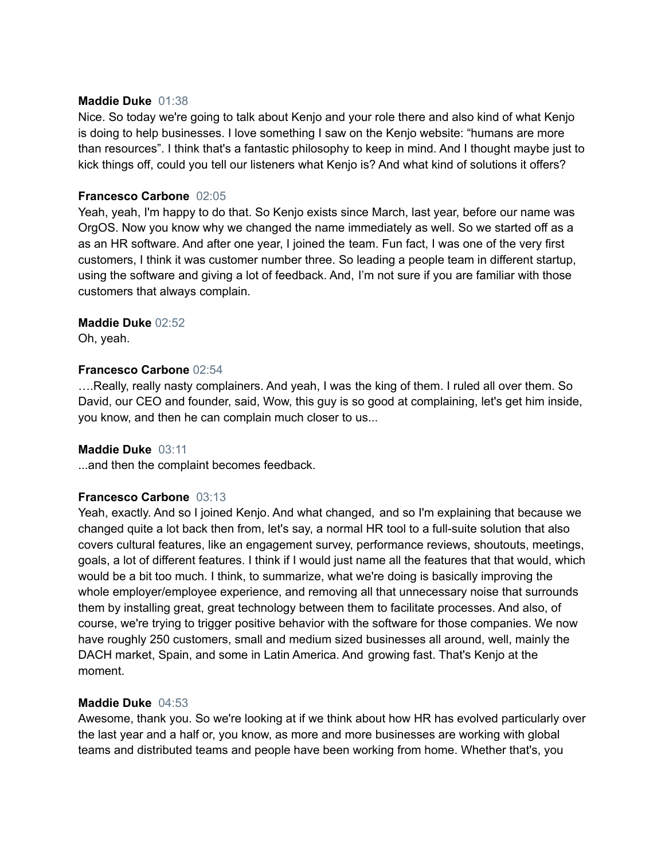#### **Maddie Duke** 01:38

Nice. So today we're going to talk about Kenjo and your role there and also kind of what Kenjo is doing to help businesses. I love something I saw on the Kenjo website: "humans are more than resources". I think that's a fantastic philosophy to keep in mind. And I thought maybe just to kick things off, could you tell our listeners what Kenjo is? And what kind of solutions it offers?

# **Francesco Carbone** 02:05

Yeah, yeah, I'm happy to do that. So Kenjo exists since March, last year, before our name was OrgOS. Now you know why we changed the name immediately as well. So we started off as a as an HR software. And after one year, I joined the team. Fun fact, I was one of the very first customers, I think it was customer number three. So leading a people team in different startup, using the software and giving a lot of feedback. And, I'm not sure if you are familiar with those customers that always complain.

# **Maddie Duke** 02:52

Oh, yeah.

# **Francesco Carbone** 02:54

….Really, really nasty complainers. And yeah, I was the king of them. I ruled all over them. So David, our CEO and founder, said, Wow, this guy is so good at complaining, let's get him inside, you know, and then he can complain much closer to us...

# **Maddie Duke** 03:11

...and then the complaint becomes feedback.

# **Francesco Carbone** 03:13

Yeah, exactly. And so I joined Kenjo. And what changed, and so I'm explaining that because we changed quite a lot back then from, let's say, a normal HR tool to a full-suite solution that also covers cultural features, like an engagement survey, performance reviews, shoutouts, meetings, goals, a lot of different features. I think if I would just name all the features that that would, which would be a bit too much. I think, to summarize, what we're doing is basically improving the whole employer/employee experience, and removing all that unnecessary noise that surrounds them by installing great, great technology between them to facilitate processes. And also, of course, we're trying to trigger positive behavior with the software for those companies. We now have roughly 250 customers, small and medium sized businesses all around, well, mainly the DACH market, Spain, and some in Latin America. And growing fast. That's Kenjo at the moment.

#### **Maddie Duke** 04:53

Awesome, thank you. So we're looking at if we think about how HR has evolved particularly over the last year and a half or, you know, as more and more businesses are working with global teams and distributed teams and people have been working from home. Whether that's, you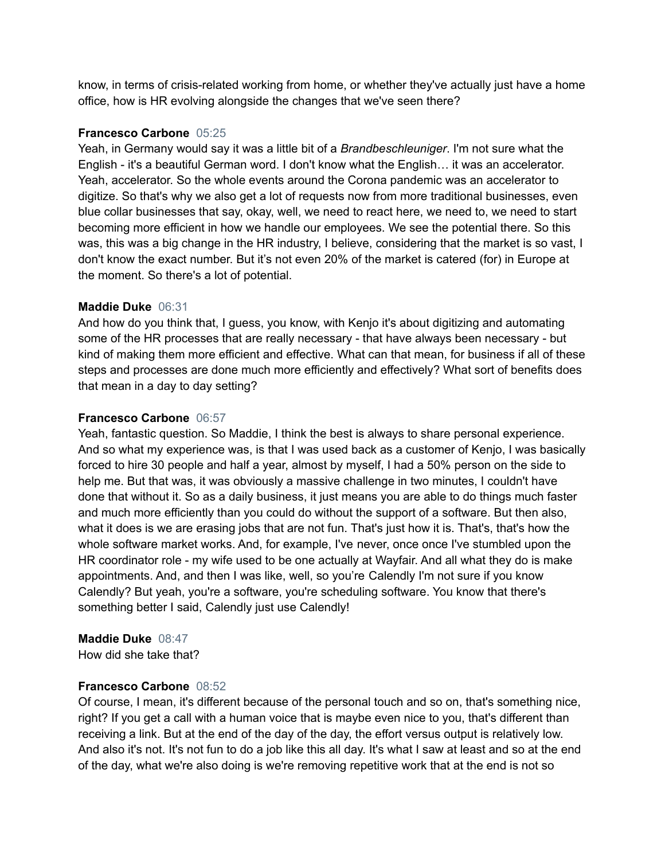know, in terms of crisis-related working from home, or whether they've actually just have a home office, how is HR evolving alongside the changes that we've seen there?

# **Francesco Carbone** 05:25

Yeah, in Germany would say it was a little bit of a *Brandbeschleuniger*. I'm not sure what the English - it's a beautiful German word. I don't know what the English… it was an accelerator. Yeah, accelerator. So the whole events around the Corona pandemic was an accelerator to digitize. So that's why we also get a lot of requests now from more traditional businesses, even blue collar businesses that say, okay, well, we need to react here, we need to, we need to start becoming more efficient in how we handle our employees. We see the potential there. So this was, this was a big change in the HR industry, I believe, considering that the market is so vast, I don't know the exact number. But it's not even 20% of the market is catered (for) in Europe at the moment. So there's a lot of potential.

# **Maddie Duke** 06:31

And how do you think that, I guess, you know, with Kenjo it's about digitizing and automating some of the HR processes that are really necessary - that have always been necessary - but kind of making them more efficient and effective. What can that mean, for business if all of these steps and processes are done much more efficiently and effectively? What sort of benefits does that mean in a day to day setting?

# **Francesco Carbone** 06:57

Yeah, fantastic question. So Maddie, I think the best is always to share personal experience. And so what my experience was, is that I was used back as a customer of Kenjo, I was basically forced to hire 30 people and half a year, almost by myself, I had a 50% person on the side to help me. But that was, it was obviously a massive challenge in two minutes, I couldn't have done that without it. So as a daily business, it just means you are able to do things much faster and much more efficiently than you could do without the support of a software. But then also, what it does is we are erasing jobs that are not fun. That's just how it is. That's, that's how the whole software market works. And, for example, I've never, once once I've stumbled upon the HR coordinator role - my wife used to be one actually at Wayfair. And all what they do is make appointments. And, and then I was like, well, so you're Calendly I'm not sure if you know Calendly? But yeah, you're a software, you're scheduling software. You know that there's something better I said, Calendly just use Calendly!

# **Maddie Duke** 08:47

How did she take that?

# **Francesco Carbone** 08:52

Of course, I mean, it's different because of the personal touch and so on, that's something nice, right? If you get a call with a human voice that is maybe even nice to you, that's different than receiving a link. But at the end of the day of the day, the effort versus output is relatively low. And also it's not. It's not fun to do a job like this all day. It's what I saw at least and so at the end of the day, what we're also doing is we're removing repetitive work that at the end is not so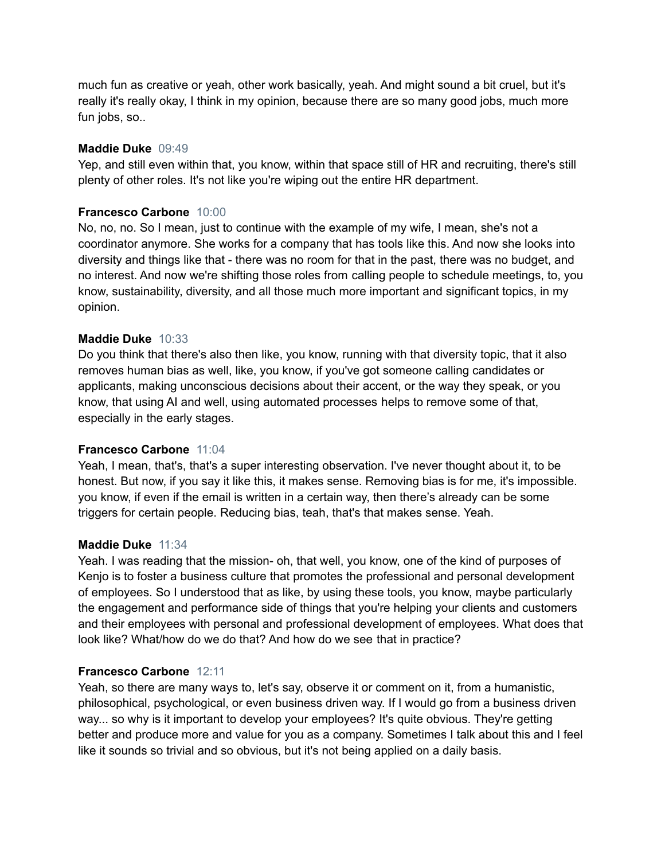much fun as creative or yeah, other work basically, yeah. And might sound a bit cruel, but it's really it's really okay, I think in my opinion, because there are so many good jobs, much more fun jobs, so..

#### **Maddie Duke** 09:49

Yep, and still even within that, you know, within that space still of HR and recruiting, there's still plenty of other roles. It's not like you're wiping out the entire HR department.

# **Francesco Carbone** 10:00

No, no, no. So I mean, just to continue with the example of my wife, I mean, she's not a coordinator anymore. She works for a company that has tools like this. And now she looks into diversity and things like that - there was no room for that in the past, there was no budget, and no interest. And now we're shifting those roles from calling people to schedule meetings, to, you know, sustainability, diversity, and all those much more important and significant topics, in my opinion.

#### **Maddie Duke** 10:33

Do you think that there's also then like, you know, running with that diversity topic, that it also removes human bias as well, like, you know, if you've got someone calling candidates or applicants, making unconscious decisions about their accent, or the way they speak, or you know, that using AI and well, using automated processes helps to remove some of that, especially in the early stages.

#### **Francesco Carbone** 11:04

Yeah, I mean, that's, that's a super interesting observation. I've never thought about it, to be honest. But now, if you say it like this, it makes sense. Removing bias is for me, it's impossible. you know, if even if the email is written in a certain way, then there's already can be some triggers for certain people. Reducing bias, teah, that's that makes sense. Yeah.

#### **Maddie Duke** 11:34

Yeah. I was reading that the mission- oh, that well, you know, one of the kind of purposes of Kenjo is to foster a business culture that promotes the professional and personal development of employees. So I understood that as like, by using these tools, you know, maybe particularly the engagement and performance side of things that you're helping your clients and customers and their employees with personal and professional development of employees. What does that look like? What/how do we do that? And how do we see that in practice?

#### **Francesco Carbone** 12:11

Yeah, so there are many ways to, let's say, observe it or comment on it, from a humanistic, philosophical, psychological, or even business driven way. If I would go from a business driven way... so why is it important to develop your employees? It's quite obvious. They're getting better and produce more and value for you as a company. Sometimes I talk about this and I feel like it sounds so trivial and so obvious, but it's not being applied on a daily basis.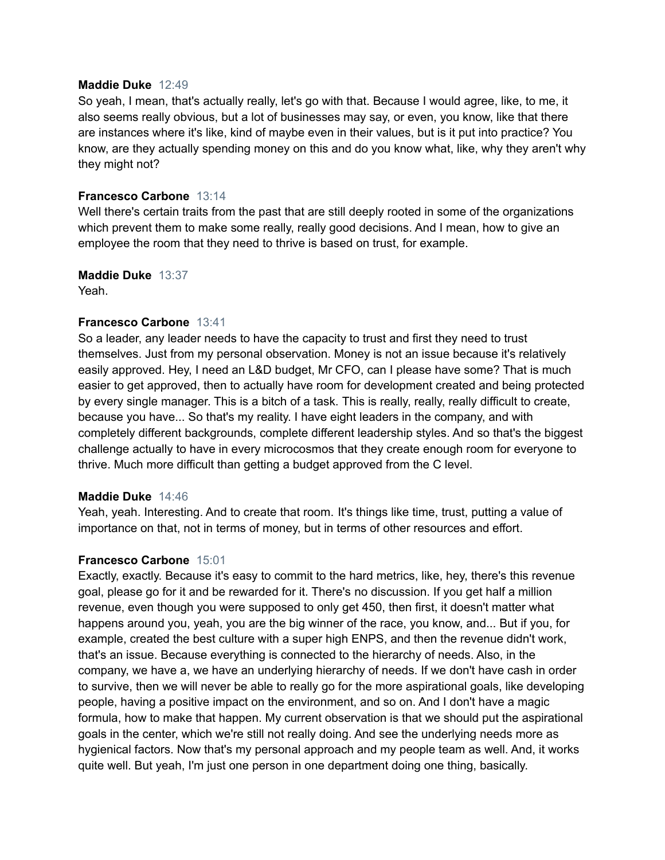#### **Maddie Duke** 12:49

So yeah, I mean, that's actually really, let's go with that. Because I would agree, like, to me, it also seems really obvious, but a lot of businesses may say, or even, you know, like that there are instances where it's like, kind of maybe even in their values, but is it put into practice? You know, are they actually spending money on this and do you know what, like, why they aren't why they might not?

#### **Francesco Carbone** 13:14

Well there's certain traits from the past that are still deeply rooted in some of the organizations which prevent them to make some really, really good decisions. And I mean, how to give an employee the room that they need to thrive is based on trust, for example.

**Maddie Duke** 13:37 Yeah.

#### **Francesco Carbone** 13:41

So a leader, any leader needs to have the capacity to trust and first they need to trust themselves. Just from my personal observation. Money is not an issue because it's relatively easily approved. Hey, I need an L&D budget, Mr CFO, can I please have some? That is much easier to get approved, then to actually have room for development created and being protected by every single manager. This is a bitch of a task. This is really, really, really difficult to create, because you have... So that's my reality. I have eight leaders in the company, and with completely different backgrounds, complete different leadership styles. And so that's the biggest challenge actually to have in every microcosmos that they create enough room for everyone to thrive. Much more difficult than getting a budget approved from the C level.

#### **Maddie Duke** 14:46

Yeah, yeah. Interesting. And to create that room. It's things like time, trust, putting a value of importance on that, not in terms of money, but in terms of other resources and effort.

#### **Francesco Carbone** 15:01

Exactly, exactly. Because it's easy to commit to the hard metrics, like, hey, there's this revenue goal, please go for it and be rewarded for it. There's no discussion. If you get half a million revenue, even though you were supposed to only get 450, then first, it doesn't matter what happens around you, yeah, you are the big winner of the race, you know, and... But if you, for example, created the best culture with a super high ENPS, and then the revenue didn't work, that's an issue. Because everything is connected to the hierarchy of needs. Also, in the company, we have a, we have an underlying hierarchy of needs. If we don't have cash in order to survive, then we will never be able to really go for the more aspirational goals, like developing people, having a positive impact on the environment, and so on. And I don't have a magic formula, how to make that happen. My current observation is that we should put the aspirational goals in the center, which we're still not really doing. And see the underlying needs more as hygienical factors. Now that's my personal approach and my people team as well. And, it works quite well. But yeah, I'm just one person in one department doing one thing, basically.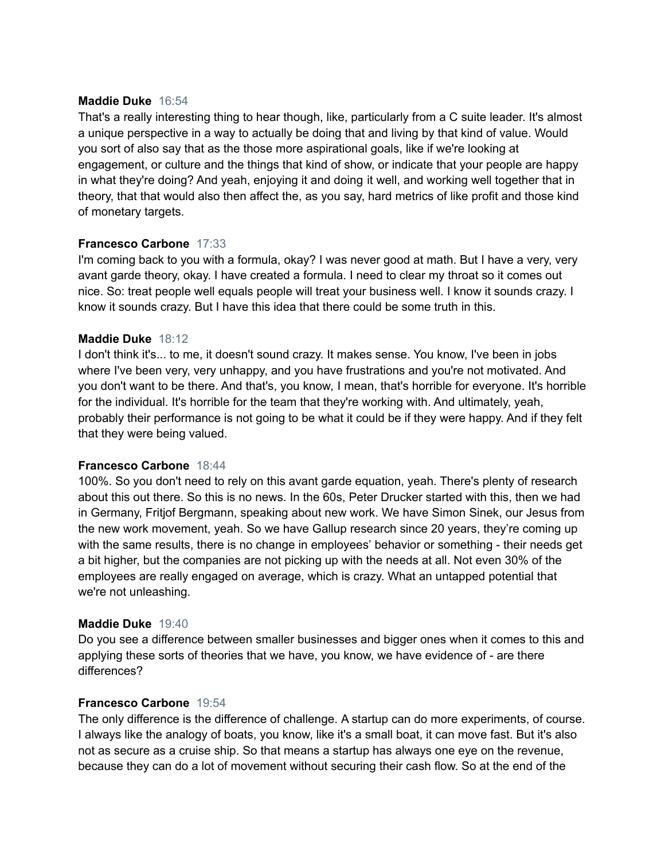#### **Maddie Duke** 16:54

That's a really interesting thing to hear though, like, particularly from a C suite leader. It's almost a unique perspective in a way to actually be doing that and living by that kind of value. Would you sort of also say that as the those more aspirational goals, like if we're looking at engagement, or culture and the things that kind of show, or indicate that your people are happy in what they're doing? And yeah, enjoying it and doing it well, and working well together that in theory, that that would also then affect the, as you say, hard metrics of like profit and those kind of monetary targets.

# **Francesco Carbone** 17:33

I'm coming back to you with a formula, okay? I was never good at math. But I have a very, very avant garde theory, okay. I have created a formula. I need to clear my throat so it comes out nice. So: treat people well equals people will treat your business well. I know it sounds crazy. I know it sounds crazy. But I have this idea that there could be some truth in this.

#### **Maddie Duke** 18:12

I don't think it's... to me, it doesn't sound crazy. It makes sense. You know, I've been in jobs where I've been very, very unhappy, and you have frustrations and you're not motivated. And you don't want to be there. And that's, you know, I mean, that's horrible for everyone. It's horrible for the individual. It's horrible for the team that they're working with. And ultimately, yeah, probably their performance is not going to be what it could be if they were happy. And if they felt that they were being valued.

#### **Francesco Carbone** 18:44

100%. So you don't need to rely on this avant garde equation, yeah. There's plenty of research about this out there. So this is no news. In the 60s, Peter Drucker started with this, then we had in Germany, Fritjof Bergmann, speaking about new work. We have Simon Sinek, our Jesus from the new work movement, yeah. So we have Gallup research since 20 years, they're coming up with the same results, there is no change in employees' behavior or something - their needs get a bit higher, but the companies are not picking up with the needs at all. Not even 30% of the employees are really engaged on average, which is crazy. What an untapped potential that we're not unleashing.

#### **Maddie Duke** 19:40

Do you see a difference between smaller businesses and bigger ones when it comes to this and applying these sorts of theories that we have, you know, we have evidence of - are there differences?

#### **Francesco Carbone** 19:54

The only difference is the difference of challenge. A startup can do more experiments, of course. I always like the analogy of boats, you know, like it's a small boat, it can move fast. But it's also not as secure as a cruise ship. So that means a startup has always one eye on the revenue, because they can do a lot of movement without securing their cash flow. So at the end of the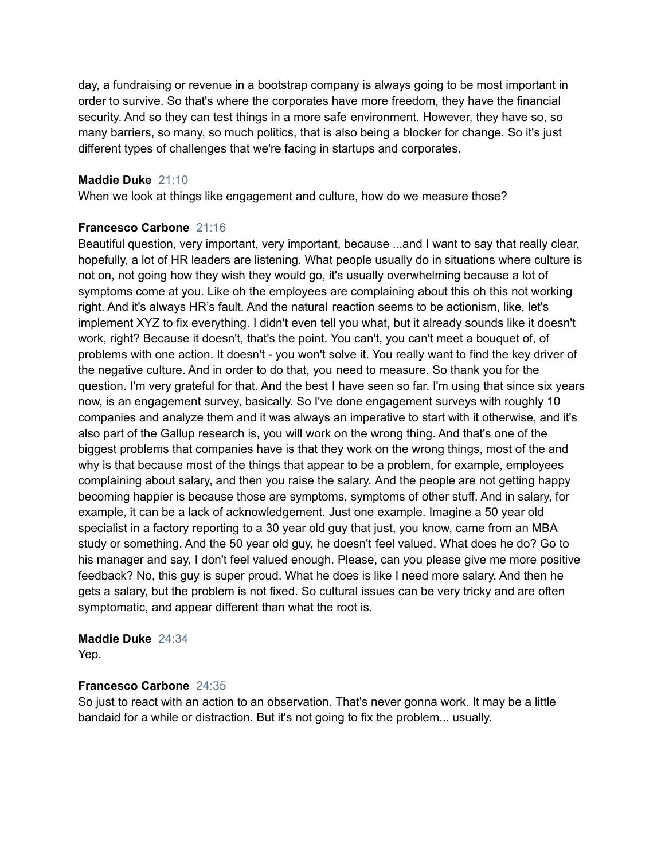day, a fundraising or revenue in a bootstrap company is always going to be most important in order to survive. So that's where the corporates have more freedom, they have the financial security. And so they can test things in a more safe environment. However, they have so, so many barriers, so many, so much politics, that is also being a blocker for change. So it's just different types of challenges that we're facing in startups and corporates.

# **Maddie Duke** 21:10

When we look at things like engagement and culture, how do we measure those?

#### **Francesco Carbone** 21:16

Beautiful question, very important, very important, because ...and I want to say that really clear, hopefully, a lot of HR leaders are listening. What people usually do in situations where culture is not on, not going how they wish they would go, it's usually overwhelming because a lot of symptoms come at you. Like oh the employees are complaining about this oh this not working right. And it's always HR's fault. And the natural reaction seems to be actionism, like, let's implement XYZ to fix everything. I didn't even tell you what, but it already sounds like it doesn't work, right? Because it doesn't, that's the point. You can't, you can't meet a bouquet of, of problems with one action. It doesn't - you won't solve it. You really want to find the key driver of the negative culture. And in order to do that, you need to measure. So thank you for the question. I'm very grateful for that. And the best I have seen so far. I'm using that since six years now, is an engagement survey, basically. So I've done engagement surveys with roughly 10 companies and analyze them and it was always an imperative to start with it otherwise, and it's also part of the Gallup research is, you will work on the wrong thing. And that's one of the biggest problems that companies have is that they work on the wrong things, most of the and why is that because most of the things that appear to be a problem, for example, employees complaining about salary, and then you raise the salary. And the people are not getting happy becoming happier is because those are symptoms, symptoms of other stuff. And in salary, for example, it can be a lack of acknowledgement. Just one example. Imagine a 50 year old specialist in a factory reporting to a 30 year old guy that just, you know, came from an MBA study or something. And the 50 year old guy, he doesn't feel valued. What does he do? Go to his manager and say, I don't feel valued enough. Please, can you please give me more positive feedback? No, this guy is super proud. What he does is like I need more salary. And then he gets a salary, but the problem is not fixed. So cultural issues can be very tricky and are often symptomatic, and appear different than what the root is.

# **Maddie Duke** 24:34

Yep.

# **Francesco Carbone** 24:35

So just to react with an action to an observation. That's never gonna work. It may be a little bandaid for a while or distraction. But it's not going to fix the problem... usually.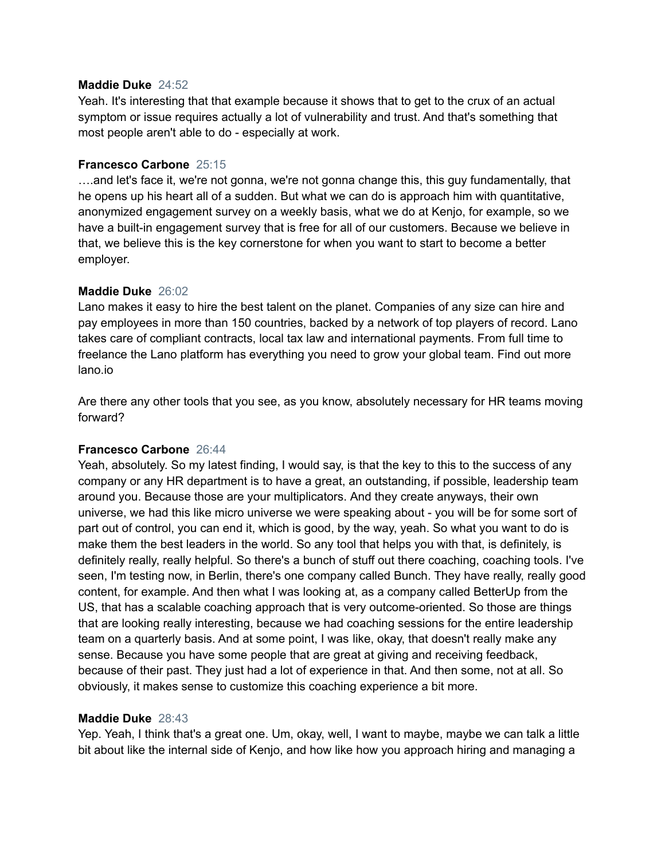#### **Maddie Duke** 24:52

Yeah. It's interesting that that example because it shows that to get to the crux of an actual symptom or issue requires actually a lot of vulnerability and trust. And that's something that most people aren't able to do - especially at work.

#### **Francesco Carbone** 25:15

….and let's face it, we're not gonna, we're not gonna change this, this guy fundamentally, that he opens up his heart all of a sudden. But what we can do is approach him with quantitative, anonymized engagement survey on a weekly basis, what we do at Kenjo, for example, so we have a built-in engagement survey that is free for all of our customers. Because we believe in that, we believe this is the key cornerstone for when you want to start to become a better employer.

#### **Maddie Duke** 26:02

Lano makes it easy to hire the best talent on the planet. Companies of any size can hire and pay employees in more than 150 countries, backed by a network of top players of record. Lano takes care of compliant contracts, local tax law and international payments. From full time to freelance the Lano platform has everything you need to grow your global team. Find out more lano.io

Are there any other tools that you see, as you know, absolutely necessary for HR teams moving forward?

# **Francesco Carbone** 26:44

Yeah, absolutely. So my latest finding, I would say, is that the key to this to the success of any company or any HR department is to have a great, an outstanding, if possible, leadership team around you. Because those are your multiplicators. And they create anyways, their own universe, we had this like micro universe we were speaking about - you will be for some sort of part out of control, you can end it, which is good, by the way, yeah. So what you want to do is make them the best leaders in the world. So any tool that helps you with that, is definitely, is definitely really, really helpful. So there's a bunch of stuff out there coaching, coaching tools. I've seen, I'm testing now, in Berlin, there's one company called Bunch. They have really, really good content, for example. And then what I was looking at, as a company called BetterUp from the US, that has a scalable coaching approach that is very outcome-oriented. So those are things that are looking really interesting, because we had coaching sessions for the entire leadership team on a quarterly basis. And at some point, I was like, okay, that doesn't really make any sense. Because you have some people that are great at giving and receiving feedback, because of their past. They just had a lot of experience in that. And then some, not at all. So obviously, it makes sense to customize this coaching experience a bit more.

#### **Maddie Duke** 28:43

Yep. Yeah, I think that's a great one. Um, okay, well, I want to maybe, maybe we can talk a little bit about like the internal side of Kenjo, and how like how you approach hiring and managing a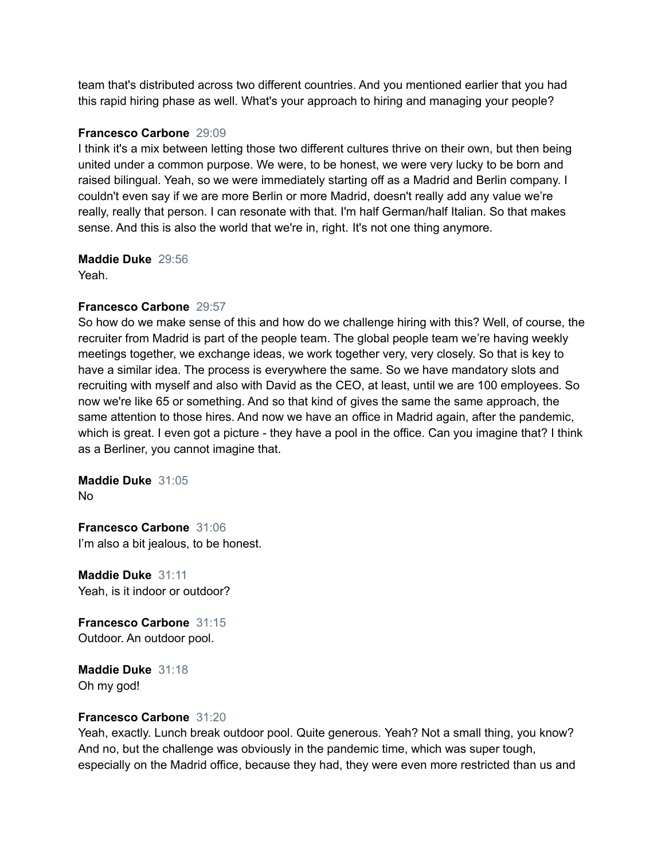team that's distributed across two different countries. And you mentioned earlier that you had this rapid hiring phase as well. What's your approach to hiring and managing your people?

# **Francesco Carbone** 29:09

I think it's a mix between letting those two different cultures thrive on their own, but then being united under a common purpose. We were, to be honest, we were very lucky to be born and raised bilingual. Yeah, so we were immediately starting off as a Madrid and Berlin company. I couldn't even say if we are more Berlin or more Madrid, doesn't really add any value we're really, really that person. I can resonate with that. I'm half German/half Italian. So that makes sense. And this is also the world that we're in, right. It's not one thing anymore.

# **Maddie Duke** 29:56

Yeah.

# **Francesco Carbone** 29:57

So how do we make sense of this and how do we challenge hiring with this? Well, of course, the recruiter from Madrid is part of the people team. The global people team we're having weekly meetings together, we exchange ideas, we work together very, very closely. So that is key to have a similar idea. The process is everywhere the same. So we have mandatory slots and recruiting with myself and also with David as the CEO, at least, until we are 100 employees. So now we're like 65 or something. And so that kind of gives the same the same approach, the same attention to those hires. And now we have an office in Madrid again, after the pandemic, which is great. I even got a picture - they have a pool in the office. Can you imagine that? I think as a Berliner, you cannot imagine that.

**Maddie Duke** 31:05 No

**Francesco Carbone** 31:06 I'm also a bit jealous, to be honest.

**Maddie Duke** 31:11 Yeah, is it indoor or outdoor?

**Francesco Carbone** 31:15 Outdoor. An outdoor pool.

**Maddie Duke** 31:18 Oh my god!

# **Francesco Carbone** 31:20

Yeah, exactly. Lunch break outdoor pool. Quite generous. Yeah? Not a small thing, you know? And no, but the challenge was obviously in the pandemic time, which was super tough, especially on the Madrid office, because they had, they were even more restricted than us and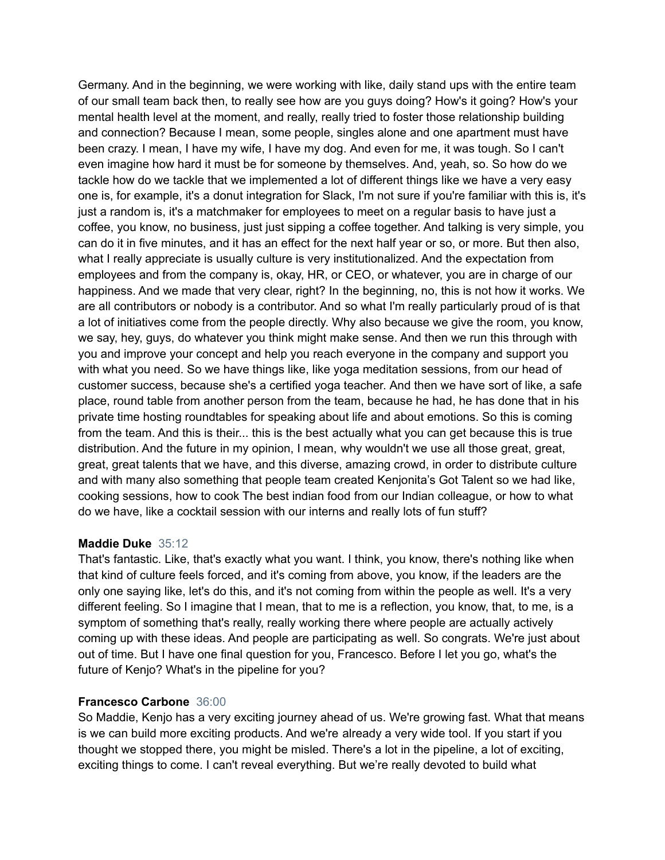Germany. And in the beginning, we were working with like, daily stand ups with the entire team of our small team back then, to really see how are you guys doing? How's it going? How's your mental health level at the moment, and really, really tried to foster those relationship building and connection? Because I mean, some people, singles alone and one apartment must have been crazy. I mean, I have my wife, I have my dog. And even for me, it was tough. So I can't even imagine how hard it must be for someone by themselves. And, yeah, so. So how do we tackle how do we tackle that we implemented a lot of different things like we have a very easy one is, for example, it's a donut integration for Slack, I'm not sure if you're familiar with this is, it's just a random is, it's a matchmaker for employees to meet on a regular basis to have just a coffee, you know, no business, just just sipping a coffee together. And talking is very simple, you can do it in five minutes, and it has an effect for the next half year or so, or more. But then also, what I really appreciate is usually culture is very institutionalized. And the expectation from employees and from the company is, okay, HR, or CEO, or whatever, you are in charge of our happiness. And we made that very clear, right? In the beginning, no, this is not how it works. We are all contributors or nobody is a contributor. And so what I'm really particularly proud of is that a lot of initiatives come from the people directly. Why also because we give the room, you know, we say, hey, guys, do whatever you think might make sense. And then we run this through with you and improve your concept and help you reach everyone in the company and support you with what you need. So we have things like, like yoga meditation sessions, from our head of customer success, because she's a certified yoga teacher. And then we have sort of like, a safe place, round table from another person from the team, because he had, he has done that in his private time hosting roundtables for speaking about life and about emotions. So this is coming from the team. And this is their... this is the best actually what you can get because this is true distribution. And the future in my opinion, I mean, why wouldn't we use all those great, great, great, great talents that we have, and this diverse, amazing crowd, in order to distribute culture and with many also something that people team created Kenjonita's Got Talent so we had like, cooking sessions, how to cook The best indian food from our Indian colleague, or how to what do we have, like a cocktail session with our interns and really lots of fun stuff?

#### **Maddie Duke** 35:12

That's fantastic. Like, that's exactly what you want. I think, you know, there's nothing like when that kind of culture feels forced, and it's coming from above, you know, if the leaders are the only one saying like, let's do this, and it's not coming from within the people as well. It's a very different feeling. So I imagine that I mean, that to me is a reflection, you know, that, to me, is a symptom of something that's really, really working there where people are actually actively coming up with these ideas. And people are participating as well. So congrats. We're just about out of time. But I have one final question for you, Francesco. Before I let you go, what's the future of Kenjo? What's in the pipeline for you?

# **Francesco Carbone** 36:00

So Maddie, Kenjo has a very exciting journey ahead of us. We're growing fast. What that means is we can build more exciting products. And we're already a very wide tool. If you start if you thought we stopped there, you might be misled. There's a lot in the pipeline, a lot of exciting, exciting things to come. I can't reveal everything. But we're really devoted to build what